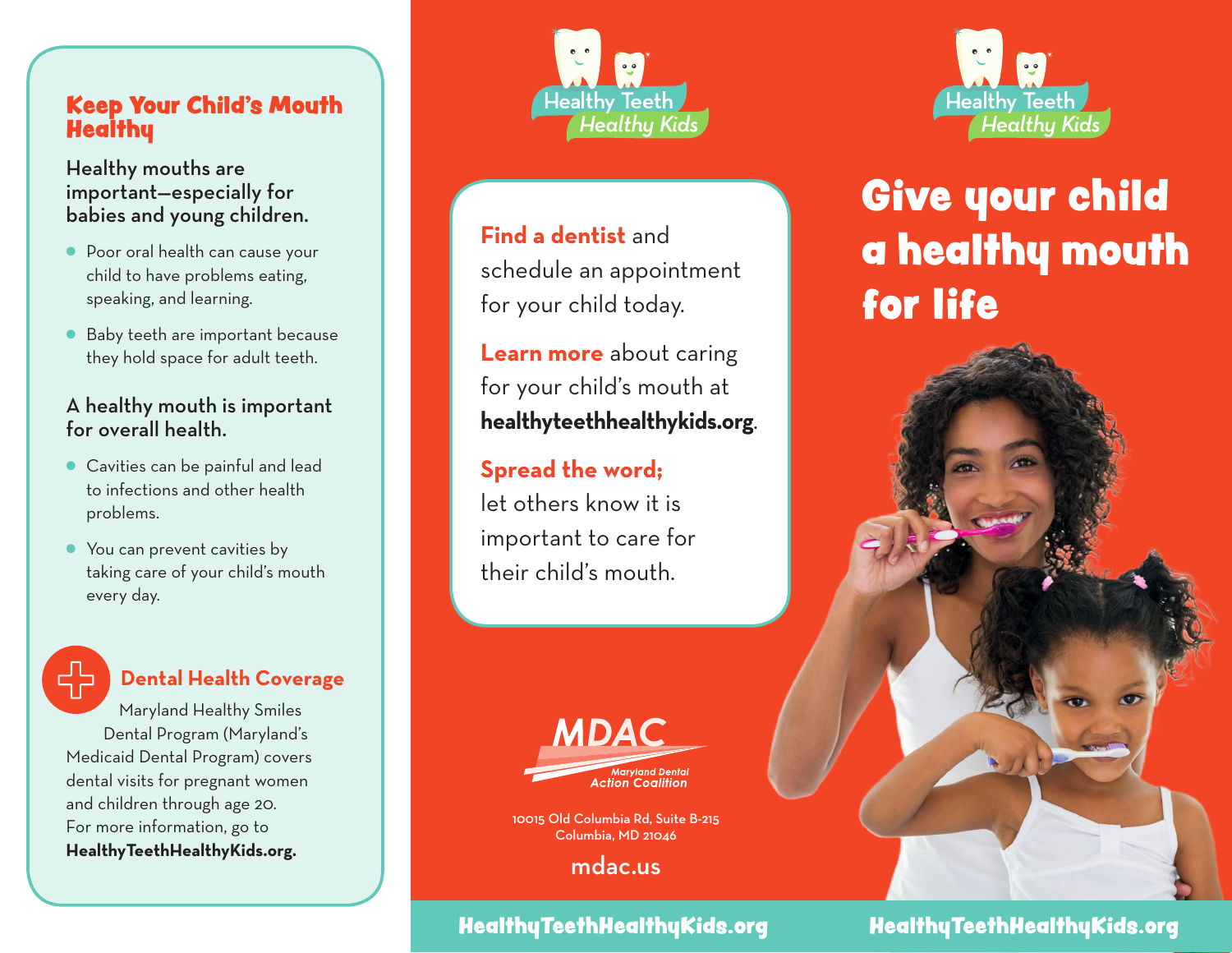### Keep Your Child's Mouth **Healthy**

### Healthy mouths are important—especially for babies and young children.

- Poor oral health can cause your child to have problems eating, speaking, and learning.
- Baby teeth are important because they hold space for adult teeth.

### A healthy mouth is important for overall health.

- Cavities can be painful and lead to infections and other health problems.
- You can prevent cavities by taking care of your child's mouth every day.



### **Dental Health Coverage**

Maryland Healthy Smiles Dental Program (Maryland's Medicaid Dental Program) covers dental visits for pregnant women and children through age 20. For more information, go to **HealthyTeethHealthyKids.org.**



**Find a dentist** and schedule an appointment for your child today.

**Learn more** about caring for your child's mouth at **healthyteethhealthykids.org**.

### **Spread the word;**

let others know it is important to care for their child's mouth.



10015 Old Columbia Rd, Suite B-215 Columbia, MD 21046

mdac.us



# Give your child a healthy mouth for life



### HealthyTeethHealthyKids.org HealthyTeethHealthyKids.org